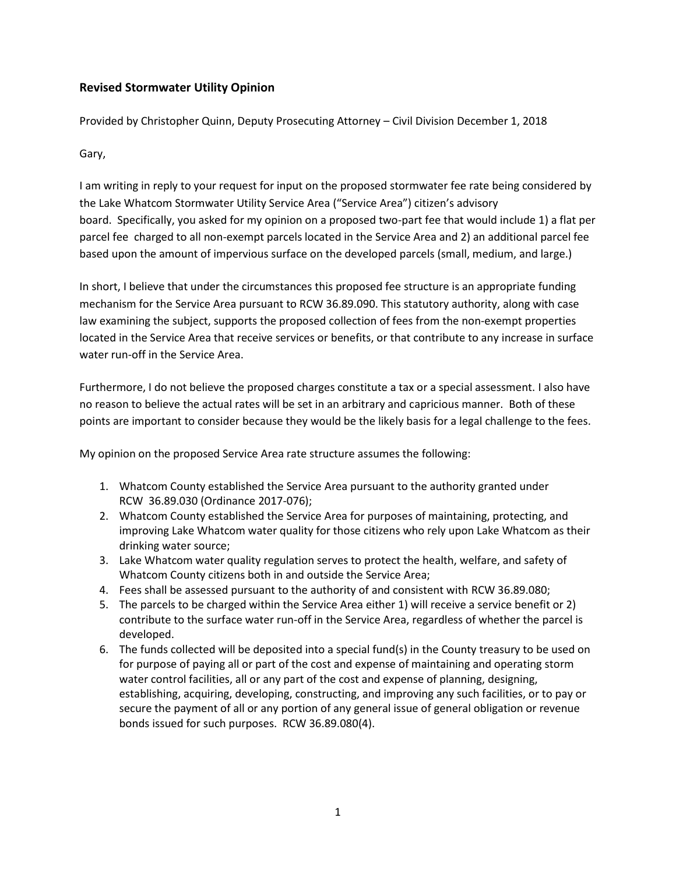# **Revised Stormwater Utility Opinion**

Provided by Christopher Quinn, Deputy Prosecuting Attorney – Civil Division December 1, 2018

Gary,

I am writing in reply to your request for input on the proposed stormwater fee rate being considered by the Lake Whatcom Stormwater Utility Service Area ("Service Area") citizen's advisory board. Specifically, you asked for my opinion on a proposed two-part fee that would include 1) a flat per parcel fee charged to all non-exempt parcels located in the Service Area and 2) an additional parcel fee based upon the amount of impervious surface on the developed parcels (small, medium, and large.)

In short, I believe that under the circumstances this proposed fee structure is an appropriate funding mechanism for the Service Area pursuant to RCW 36.89.090. This statutory authority, along with case law examining the subject, supports the proposed collection of fees from the non-exempt properties located in the Service Area that receive services or benefits, or that contribute to any increase in surface water run-off in the Service Area.

Furthermore, I do not believe the proposed charges constitute a tax or a special assessment. I also have no reason to believe the actual rates will be set in an arbitrary and capricious manner. Both of these points are important to consider because they would be the likely basis for a legal challenge to the fees.

My opinion on the proposed Service Area rate structure assumes the following:

- 1. Whatcom County established the Service Area pursuant to the authority granted under RCW 36.89.030 (Ordinance 2017-076);
- 2. Whatcom County established the Service Area for purposes of maintaining, protecting, and improving Lake Whatcom water quality for those citizens who rely upon Lake Whatcom as their drinking water source;
- 3. Lake Whatcom water quality regulation serves to protect the health, welfare, and safety of Whatcom County citizens both in and outside the Service Area;
- 4. Fees shall be assessed pursuant to the authority of and consistent with RCW 36.89.080;
- 5. The parcels to be charged within the Service Area either 1) will receive a service benefit or 2) contribute to the surface water run-off in the Service Area, regardless of whether the parcel is developed.
- 6. The funds collected will be deposited into a special fund(s) in the County treasury to be used on for purpose of paying all or part of the cost and expense of maintaining and operating storm water control facilities, all or any part of the cost and expense of planning, designing, establishing, acquiring, developing, constructing, and improving any such facilities, or to pay or secure the payment of all or any portion of any general issue of general obligation or revenue bonds issued for such purposes. RCW 36.89.080(4).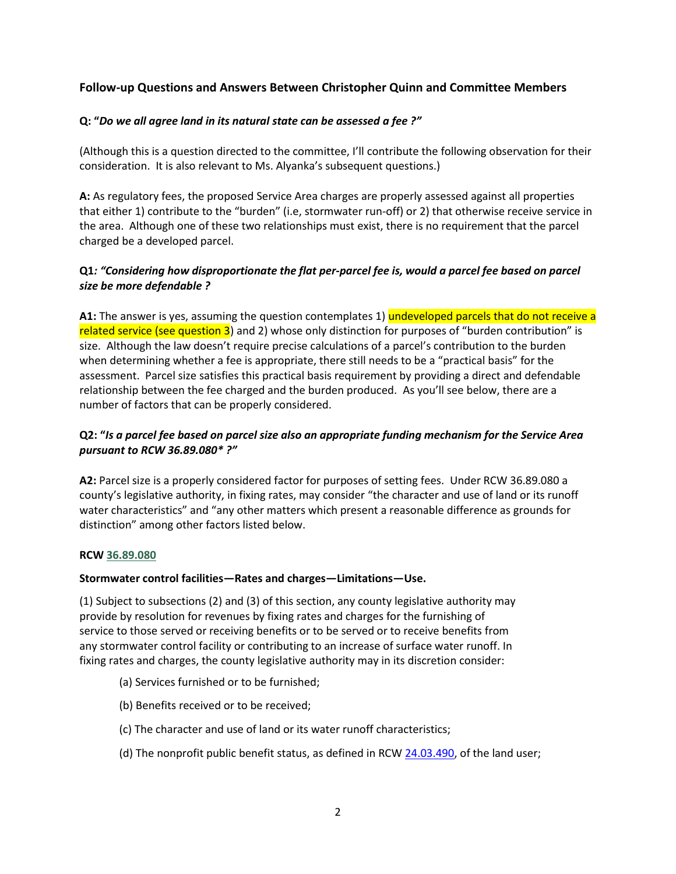# **Follow-up Questions and Answers Between Christopher Quinn and Committee Members**

### **Q: "***Do we all agree land in its natural state can be assessed a fee ?"*

(Although this is a question directed to the committee, I'll contribute the following observation for their consideration. It is also relevant to Ms. Alyanka's subsequent questions.)

**A:** As regulatory fees, the proposed Service Area charges are properly assessed against all properties that either 1) contribute to the "burden" (i.e, stormwater run-off) or 2) that otherwise receive service in the area. Although one of these two relationships must exist, there is no requirement that the parcel charged be a developed parcel.

## **Q1***: "Considering how disproportionate the flat per-parcel fee is, would a parcel fee based on parcel size be more defendable ?*

**A1:** The answer is yes, assuming the question contemplates 1) **undeveloped parcels that do not receive a** related service (see question 3) and 2) whose only distinction for purposes of "burden contribution" is size. Although the law doesn't require precise calculations of a parcel's contribution to the burden when determining whether a fee is appropriate, there still needs to be a "practical basis" for the assessment. Parcel size satisfies this practical basis requirement by providing a direct and defendable relationship between the fee charged and the burden produced. As you'll see below, there are a number of factors that can be properly considered.

## **Q2: "***Is a parcel fee based on parcel size also an appropriate funding mechanism for the Service Area pursuant to RCW 36.89.080\* ?"*

**A2:** Parcel size is a properly considered factor for purposes of setting fees. Under RCW 36.89.080 a county's legislative authority, in fixing rates, may consider "the character and use of land or its runoff water characteristics" and "any other matters which present a reasonable difference as grounds for distinction" among other factors listed below.

#### **RC[W 36.89.080](http://app.leg.wa.gov/RCW/default.aspx?cite=36.89.080)**

#### **Stormwater control facilities—Rates and charges—Limitations—Use.**

(1) Subject to subsections (2) and (3) of this section, any county legislative authority may provide by resolution for revenues by fixing rates and charges for the furnishing of service to those served or receiving benefits or to be served or to receive benefits from any stormwater control facility or contributing to an increase of surface water runoff. In fixing rates and charges, the county legislative authority may in its discretion consider:

- (a) Services furnished or to be furnished;
- (b) Benefits received or to be received;
- (c) The character and use of land or its water runoff characteristics;
- (d) The nonprofit public benefit status, as defined in RCW [24.03.490,](http://app.leg.wa.gov/RCW/default.aspx?cite=24.03.490) of the land user;